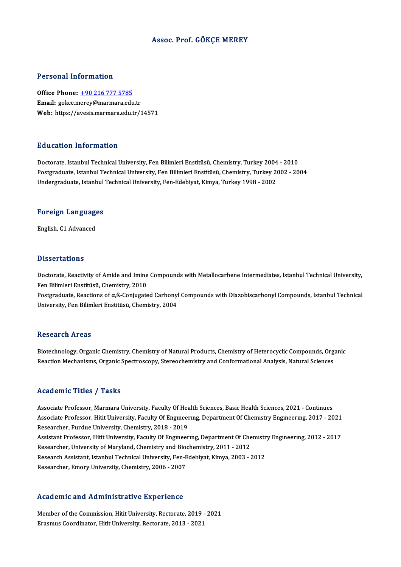## Assoc. Prof. GÖKÇE MEREY

## Personal Information

Office Phone: +90 216 777 5785 Email: gokce.[merey@marmara.edu](tel:+90 216 777 5785).tr Web: https://avesis.marmara.edu.tr/14571

## Education Information

Doctorate, Istanbul Technical University, Fen Bilimleri Enstitüsü, Chemistry, Turkey 2004 - 2010 Puusuteen Tiitsi interem<br>Doctorate, Istanbul Technical University, Fen Bilimleri Enstitüsü, Chemistry, Turkey 2004 - 2010<br>Postgraduate, Istanbul Technical University, Fen Bilimleri Enstitüsü, Chemistry, Turkey 2002 - 2004<br> Doctorate, Istanbul Technical University, Fen Bilimleri Enstitüsü, Chemistry, Turkey 2004<br>Postgraduate, Istanbul Technical University, Fen Bilimleri Enstitüsü, Chemistry, Turkey 2<br>Undergraduate, Istanbul Technical Universi

# <sub>ondergraduate, istanbul</sub><br>Foreign Languages F<mark>oreign Languag</mark>e<br>English, C1 Advanced

English, C1 Advanced<br>Dissertations

Dissertations<br>Doctorate, Reactivity of Amide and Imine Compounds with Metallocarbene Intermediates, Istanbul Technical University,<br>Fon Pilimleri Enstitüsü, Chemistry, 2010 *Basser december*<br>Doctorate, Reactivity of Amide and Imine<br>Fen Bilimleri Enstitüsü, Chemistry, 2010<br>Bostanduate, Beactions of a <sup>0</sup>. Conjugate Doctorate, Reactivity of Amide and Imine Compounds with Metallocarbene Intermediates, Istanbul Technical University,<br>Fen Bilimleri Enstitüsü, Chemistry, 2010<br>Postgraduate, Reactions of α,ß-Conjugated Carbonyl Compounds wi

Fen Bilimleri Enstitüsü, Chemistry, 2010<br>Postgraduate, Reactions of α,ß-Conjugated Carbonyl Compounds with Diazobiscarbonyl Compounds, Istanbul Technical<br>University, Fen Bilimleri Enstitüsü, Chemistry, 2004

## **Research Areas**

Research Areas<br>Biotechnology, Organic Chemistry, Chemistry of Natural Products, Chemistry of Heterocyclic Compounds, Organic<br>Peastion Mechanisms, Oxsanic Spestresseny, Starsesbomistry and Conformational Anglysis, Natural S Resear en 11 cas<br>Biotechnology, Organic Chemistry, Chemistry of Natural Products, Chemistry of Heterocyclic Compounds, Org<br>Reaction Mechanisms, Organic Spectroscopy, Stereochemistry and Conformational Analysis, Natural Sci Reaction Mechanisms, Organic Spectroscopy, Stereochemistry and Conformational Analysis, Natural Sciences<br>Academic Titles / Tasks

Academic Titles / Tasks<br>Associate Professor, Marmara University, Faculty Of Health Sciences, Basic Health Sciences, 2021 - Continues<br>Associate Professor, Hitit University, Faculty Of Engunearung, Department Of Chamistry En Associate Professor, Hitit University, Faculty Of Engineering, Department Of Chemistry Engineering, 2017 - 2021<br>Researcher, Purdue University, Chemistry, 2018 - 2019 Associate Professor, Marmara University, Faculty Of Heads<br>Associate Professor, Hitit University, Faculty Of Engmeen<br>Researcher, Purdue University, Chemistry, 2018 - 2019<br>Assistant Professor, Hitit University, Faculty Of En Associate Professor, Hitit University, Faculty Of Engineering, Department Of Chemistry Engineering, 2017 - 2021<br>Researcher, Purdue University, Chemistry, 2018 - 2019<br>Assistant Professor, Hitit University, Faculty Of Engine Researcher, Purdue University, Chemistry, 2018 - 2019<br>Assistant Professor, Hitit University, Faculty Of Engineering, Department Of Che<br>Researcher, University of Maryland, Chemistry and Biochemistry, 2011 - 2012<br>Research As Assistant Professor, Hitit University, Faculty Of Engineering, Department Of Chemistr<br>Researcher, University of Maryland, Chemistry and Biochemistry, 2011 - 2012<br>Research Assistant, Istanbul Technical University, Fen-Edebi Researcher, University of Maryland, Chemistry and Biochemistry, 2011 - 2012<br>Research Assistant, Istanbul Technical University, Fen-Edebiyat, Kimya, 2003 - 2012<br>Researcher, Emory University, Chemistry, 2006 - 2007

### Academic and Administrative Experience

Academic and Administrative Experience<br>Member of the Commission, Hitit University, Rectorate, 2019 - 2021<br>Freemus Coordinator, Hitit University, Rectorate, 2013 - 2021 Erasmus Coordinator, Hitler University, Rectorate, 2019<br>Erasmus Coordinator, Hitit University, Rectorate, 2013 - 2021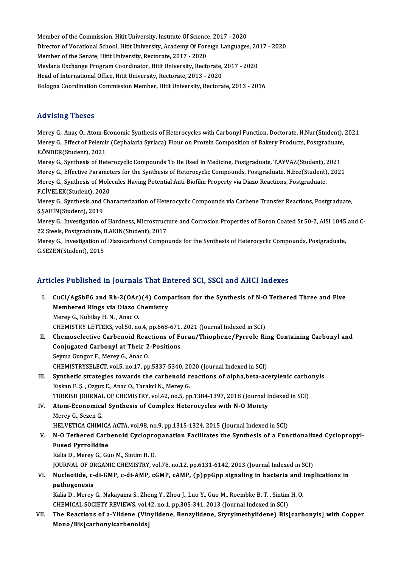Member of the Commission, Hitit University, Institute Of Science, 2017 - 2020<br>Director of Vesstional School, Hitit University, Asademy Of Fereyrn Languages Director of Vocational School, Hitit University, Academy Of Foreıgn Languages, 2017 - 2020<br>Member of the Senate, Hitit University, Rectorate, 2017 - 2020 Member of the Commission, Hitit University, Institute Of Science<br>Director of Vocational School, Hitit University, Academy Of Fore<br>Member of the Senate, Hitit University, Rectorate, 2017 - 2020<br>Mexican Exchange Pregnam Coor Director of Vocational School, Hitit University, Academy Of Foreign Languages, 20<br>Member of the Senate, Hitit University, Rectorate, 2017 - 2020<br>Mevlana Exchange Program Coordinator, Hitit University, Rectorate, 2017 - 202 Member of the Senate, Hitit University, Rectorate, 2017 - 2020<br>Mevlana Exchange Program Coordinator, Hitit University, Rectorate,<br>Head of International Office, Hitit University, Rectorate, 2013 - 2020<br>Pelegra Coordination Head of International Office, Hitit University, Rectorate, 2013 - 2020<br>Bologna Coordination Commission Member, Hitit University, Rectorate, 2013 - 2016

## Advising Theses

Merey G., Anaç O., Atom-Economic Synthesis of Heterocycles with Carbonyl Function, Doctorate, H.Nur(Student), 2021 TERY ISING TRESES<br>Merey G., Anaç O., Atom-Economic Synthesis of Heterocycles with Carbonyl Function, Doctorate, H.Nur(Student),<br>Merey G., Effect of Pelemir (Cephalaria Syriaca) Flour on Protein Composition of Bakery Produc Merey G., Anaç O., Atom-E<br>Merey G., Effect of Pelemi<br>E.ÖNDER(Student), 2021<br>Marey G. Synthesis of Hat Merey G., Effect of Pelemir (Cephalaria Syriaca) Flour on Protein Composition of Bakery Products, Postgraduate<br>E.ÖNDER(Student), 2021<br>Merey G., Synthesis of Heterocyclic Compounds To Be Used in Medicine, Postgraduate, T.AY

E.ÖNDER(Student), 2021<br>Merey G., Synthesis of Heterocyclic Compounds To Be Used in Medicine, Postgraduate, T.AYVAZ(Student), 2021<br>Merey G., Effective Parameters for the Synthesis of Heterocyclic Compounds, Postgraduate, N. Merey G., Synthesis of Heterocyclic Compounds To Be Used in Medicine, Postgraduate, T.AYVAZ(Student), 2021<br>Merey G., Effective Parameters for the Synthesis of Heterocyclic Compounds, Postgraduate, N.Ece(Student), 202<br>Merey Merey G., Effective Paramet<br>Merey G., Synthesis of Mole<br>F.CİVELEK(Student), 2020<br>Merey G., Synthesis and Cha Merey G., Synthesis of Molecules Having Potential Anti-Biofilm Property via Diazo Reactions, Postgraduate,<br>F.CİVELEK(Student), 2020<br>Merey G., Synthesis and Characterization of Heterocyclic Compounds via Carbene Transfer Re

F.CİVELEK(Student), 202<br>Merey G., Synthesis and (<br>Ş.ŞAHİN(Student), 2019<br>Marey G., Investisation e Merey G., Synthesis and Characterization of Heterocyclic Compounds via Carbene Transfer Reactions, Postgraduate,<br>Ş.ŞAHİN(Student), 2019<br>Merey G., Investigation of Hardness, Microstructure and Corrosion Properties of Boron

5.5AHİN(Student), 2019<br>Merey G., Investigation of Hardness, Microstruct<br>22 Steels, Postgraduate, B.AKIN(Student), 2017<br>Merey G., Investigation of Diagosarbonyl Campo Merey G., Investigation of Hardness, Microstructure and Corrosion Properties of Boron Coated St 50-2, AISI 1045<br>22 Steels, Postgraduate, B.AKIN(Student), 2017<br>Merey G., Investigation of Diazocarbonyl Compounds for the Synt

22 Steels, Postgraduate, B.AKIN(Student), 2017<br>Merey G., Investigation of Diazocarbonyl Compounds for the Synthesis of Heterocyclic Compounds, Postgraduate,<br>G.SEZEN(Student), 2015

# Articles Published in Journals That Entered SCI, SSCI and AHCI Indexes

- rticles Published in Journals That Entered SCI, SSCI and AHCI Indexes<br>I. CuCl/AgSbF6 and Rh-2(OAc)(4) Comparison for the Synthesis of N-O Tethered Three and Five<br>Membered Pings via Diago Chamistuv CuCl/AgSbF6 and Rh-2(OAc)(4) Comp<br>Membered Rings via Diazo Chemistry<br>Mereu C. Kubileu H. N., Ange O CuCl/AgSbF6 and Rh-2(OAc)<br>Membered Rings via Diazo C<br>Merey G., Kubilay H. N. , Anac O.<br>CHEMISTRY LETTERS val 50 no Membered Rings via Diazo Chemistry<br>Merey G., Kubilay H. N. , Anac O.<br>CHEMISTRY LETTERS, vol.50, no.4, pp.668-671, 2021 (Journal Indexed in SCI)<br>Chemoselestive Carboneid Beastions of Euren (Thiephone (Burnale Bi Merey G., Kubilay H. N. , Anac O.<br>CHEMISTRY LETTERS, vol.50, no.4, pp.668-671, 2021 (Journal Indexed in SCI)<br>II. Chemoselective Carbenoid Reactions of Furan/Thiophene/Pyrrole Ring Containing Carbonyl and
- CHEMISTRY LETTERS, vol.50, no.4, pp.668-671,<br>Chemoselective Carbenoid Reactions of Fr<br>Conjugated Carbonyl at Their 2-Positions Conjugated Carbonyl at Their 2-Positions<br>Seyma Gungor F., Merey G., Anac O. CHEMISTRYSELECT, vol.5, no.17, pp.5337-5340, 2020 (Journal Indexed in SCI) Seyma Gungor F., Merey G., Anac O.<br>CHEMISTRYSELECT, vol.5, no.17, pp.5337-5340, 2020 (Journal Indexed in SCI)<br>III. Synthetic strategies towards the carbenoid reactions of alpha,beta-acetylenic carbonyls<br>Kiskon E.S., Orgyz
- Kışkan F. Ş., Ozguz E., Anac O., Tarakci N., Merey G. Synthetic strategies towards the carbenoid reactions of alpha,beta-acetylenic carbon Kiskan F. S. , Ozguz E., Anac O., Tarakci N., Merey G.<br>TURKISH JOURNAL OF CHEMISTRY, vol.42, no.5, pp.1384-1397, 2018 (Journal Indexed in TURKISH JOURNAL OF CHEMISTRY, vol.42, no.5, pp.1384-1397, 2018 (Journal Indexed in SCI)
- IV. Atom-Economical Synthesis of Complex Heterocycles with N-O Moiety<br>Merey G., Sezen G. Atom-Economical Synthesis of Complex Heterocycles with N-O Moiety<br>Merey G., Sezen G.<br>HELVETICA CHIMICA ACTA, vol.98, no.9, pp.1315-1324, 2015 (Journal Indexed in SCI)<br>N.O. Tethered Carboneid Cyclonrepopation Easilitates th

# Merey G., Sezen G.<br>HELVETICA CHIMICA ACTA, vol.98, no.9, pp.1315-1324, 2015 (Journal Indexed in SCI)<br>V. N-O Tethered Carbenoid Cyclopropanation Facilitates the Synthesis of a Functionalized Cyclopropyl-<br>Fused Purrelidine HELVETICA CHIMICA<br>N-O Tethered Carb<br>Fused Pyrrolidine<br>Kalia D. Maray C. Cy N-O Tethered Carbenoid Cyclopro<br>Fused Pyrrolidine<br>Kalia D., Merey G., Guo M., Sintim H. O.<br>JOUPNAL OF OBCANIC CHEMISTRY .v. Fused Pyrrolidine<br>Kalia D., Merey G., Guo M., Sintim H. O.<br>JOURNAL OF ORGANIC CHEMISTRY, vol.78, no.12, pp.6131-6142, 2013 (Journal Indexed in SCI)

# Kalia D., Merey G., Guo M., Sintim H. O.<br>JOURNAL OF ORGANIC CHEMISTRY, vol.78, no.12, pp.6131-6142, 2013 (Journal Indexed in SCI)<br>VI. Nucleotide, c-di-GMP, c-di-AMP, cGMP, cAMP, (p)ppGpp signaling in bacteria and implicati **JOURNAL OF OF**<br>**Nucleotide, c-<br>pathogenesis**<br>Kalia D. Morey Nucleotide, c-di-GMP, c-di-AMP, cGMP, cAMP, (p)ppGpp signaling in bacteria and i<br>pathogenesis<br>Kalia D., Merey G., Nakayama S., Zheng Y., Zhou J., Luo Y., Guo M., Roembke B. T. , Sintim H. O.<br>CHEMICAL SOCIETY REVIEWS 110 1 pathogenesis<br>Kalia D., Merey G., Nakayama S., Zheng Y., Zhou J., Luo Y., Guo M., Roembke B. T. , Sintim H. O.

CHEMICAL SOCIETY REVIEWS, vol.42, no.1, pp.305-341, 2013 (Journal Indexed in SCI)

VII. The Reactions of a-Ylidene (Vinylidene, Benzylidene, Styrylmethylidene) Bis[carbonyls] with Copper Mono/Bis[carbonylcarbenoids]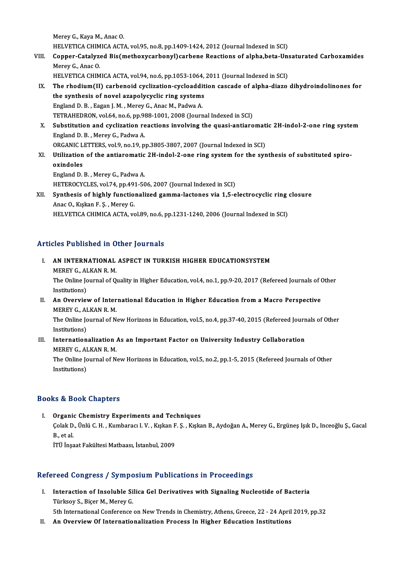MereyG.,KayaM.,AnacO. HELVETICA CHIMICA ACTA, vol.95, no.8, pp.1409-1424, 2012 (Journal Indexed in SCI)

Merey G., Kaya M., Anac O.<br>HELVETICA CHIMICA ACTA, vol.95, no.8, pp.1409-1424, 2012 (Journal Indexed in SCI)<br>VIII. Copper-Catalyzed Bis(methoxycarbonyl)carbene Reactions of alpha,beta-Unsaturated Carboxamides<br>Marey C. HELVETICA CHIM<br>Copper-Catalyze<br>Merey G., Anac O.<br>HELVETICA CHIM Copper-Catalyzed Bis(methoxycarbonyl)carbene Reactions of alpha,beta-Un:<br>Merey G., Anac O.<br>HELVETICA CHIMICA ACTA, vol.94, no.6, pp.1053-1064, 2011 (Journal Indexed in SCI)<br>The rhedium(II) carboneid cycligation cycloadditi Merey G., Anac O.<br>HELVETICA CHIMICA ACTA, vol.94, no.6, pp.1053-1064, 2011 (Journal Indexed in SCI)<br>IX. The rhodium(II) carbenoid cyclization-cycloaddition cascade of alpha-diazo dihydroindolinones for

- HELVETICA CHIMICA ACTA, vol.94, no.6, pp.1053-1064, 2011 (Journal Indexed in SCI)<br>The rhodium(II) carbenoid cyclization-cycloaddition cascade of alpha-diazo<br>the synthesis of novel azapolycyclic ring systems<br>England D. B., the synthesis of novel azapolycyclic ring systems the synthesis of novel azapolycyclic ring systems<br>England D. B. , Eagan J. M. , Merey G., Anac M., Padwa A.<br>TETRAHEDRON, vol.64, no.6, pp.988-1001, 2008 (Journal Indexed in SCI)<br>Substitution and sycligation reastions invol England D. B. , Eagan J. M. , Merey G., Anac M., Padwa A.<br>TETRAHEDRON, vol.64, no.6, pp.988-1001, 2008 (Journal Indexed in SCI)<br>X. Substitution and cyclization reactions involving the quasi-antiaromatic 2H-indol-2-one ring
- TETRAHEDRON, vol.64, no.6, pp.98<br>Substitution and cyclization re<br>England D. B. , Merey G., Padwa A.<br>OPCANIC LETTEPS, vol.9, no.19, n Substitution and cyclization reactions involving the quasi-antiaromat<br>England D. B., Merey G., Padwa A.<br>ORGANIC LETTERS, vol.9, no.19, pp.3805-3807, 2007 (Journal Indexed in SCI)<br>Utilization of the antianematic 2H indel 2, England D. B. , Merey G., Padwa A.<br>ORGANIC LETTERS, vol.9, no.19, pp.3805-3807, 2007 (Journal Indexed in SCI)<br>XI. Utilization of the antiaromatic 2H-indol-2-one ring system for the synthesis of substituted spiro-<br>ovindolos
- ORGANIC L<br>Utilization<br>oxindoles<br>England D Utilization of the antiaromatic<br>oxindoles<br>England D. B., Merey G., Padwa A.<br>HETEPOCYCLES vol 74 nn 401 50 oxindoles<br>England D. B. , Merey G., Padwa A.<br>HETEROCYCLES, vol.74, pp.491-506, 2007 (Journal Indexed in SCI) England D. B. , Merey G., Padwa A.<br>HETEROCYCLES, vol.74, pp.491-506, 2007 (Journal Indexed in SCI)<br>XII. Synthesis of highly functionalized gamma-lactones via 1,5-electrocyclic ring closure<br>Anas O. Kulian E. S. Manay C
- HETEROCYCLES, vol.74, pp.49?<br>Synthesis of highly functio:<br>Anac O., Kışkan F. Ş. , Merey G.<br>HELVETICA CHIMICA ACTA Y Synthesis of highly functionalized gamma-lactones via 1,5-electrocyclic ring<br>Anac O., Kışkan F. Ş. , Merey G.<br>HELVETICA CHIMICA ACTA, vol.89, no.6, pp.1231-1240, 2006 (Journal Indexed in SCI) HELVETICA CHIMICA ACTA, vol.89, no.6, pp.1231-1240, 2006 (Journal Indexed in SCI)<br>Articles Published in Other Journals

- Tticles Published in Other Journals<br>I. AN INTERNATIONAL ASPECT IN TURKISH HIGHER EDUCATIONSYSTEM<br>MEREY C. ALKAN B.M. MEREY G., ALKAN R. M.<br>MEREY G., ALKAN R. M.<br>The Online Journal of O. AN INTERNATIONAL ASPECT IN TURKISH HIGHER EDUCATIONSYSTEM<br>MEREY G., ALKAN R. M.<br>The Online Journal of Quality in Higher Education, vol.4, no.1, pp.9-20, 2017 (Refereed Journals of Other<br>Institutions) MEREY G., AI<br>The Online Jo<br>Institutions)<br>An Overvier The Online Journal of Quality in Higher Education, vol.4, no.1, pp.9-20, 2017 (Refereed Journals of Constitutions)<br>II. An Overview of International Education in Higher Education from a Macro Perspective<br>MEREV CON LAN ROM Institutions)<br>II. An Overview of International Education in Higher Education from a Macro Perspective<br>MEREY G., ALKAN R. M.
- An Overview of International Education in Higher Education from a Macro Perspective<br>MEREY G., ALKAN R. M.<br>The Online Journal of New Horizons in Education, vol.5, no.4, pp.37-40, 2015 (Refereed Journals of Other<br>Institution MEREY G., AI<br>The Online Jo<br>Institutions)<br>Internation

# The Online Journal of New Horizons in Education, vol.5, no.4, pp.37-40, 2015 (Refereed Journ<br>Institutions)<br>III. Internationalization As an Important Factor on University Industry Collaboration<br>MEREV C. ALKAN R.M Institutions)<br>III. Internationalization As an Important Factor on University Industry Collaboration<br>MEREY G., ALKAN R. M. Internationalization As an Important Factor on University Industry Collaboration<br>MEREY G., ALKAN R. M.<br>The Online Journal of New Horizons in Education, vol.5, no.2, pp.1-5, 2015 (Refereed Journals of Other<br>Institutione)

MEREY G., AI<br>The Online Jo<br>Institutions)

# Institutions)<br>Books & Book Chapters

ooks & Book Chapters<br>I. Organic Chemistry Experiments and Techniques<br>Colak D. Ünlü C. H. Kumbarag L.V., Kıskap E.S., Kıska to & Boon Ghapeoru<br>Organic Chemistry Experiments and Techniques<br>Çolak D., Ünlü C. H. , Kumbaracı I. V. , Kışkan F. Ş. , Kışkan B., Aydoğan A., Merey G., Ergüneş Işık D., Inceoğlu Ş., Gacal **Organie<br>Colak D.<br>B., et al.**<br>itti ince Çolak D., Ünlü C. H. , Kumbaracı I. V. , Kışkan F<br>B., et al.<br>İTÜ İnşaat Fakültesi Matbaası, İstanbul, 2009

# iTÜ İnşaat Fakültesi Matbaası, İstanbul, 2009<br>Refereed Congress / Symposium Publications in Proceedings

efereed Congress / Symposium Publications in Proceedings<br>I. Interaction of Insoluble Silica Gel Derivatives with Signaling Nucleotide of Bacteria<br>Türkov S. Bisar M. Maray C Tuca Congress 7 by mpc<br>Interaction of Insoluble Si<br>Türksoy S., Biçer M., Merey G. Interaction of Insoluble Silica Gel Derivatives with Signaling Nucleotide of Bacteria<br>Türksoy S., Biçer M., Merey G.<br>5th International Conference on New Trends in Chemistry, Athens, Greece, 22 - 24 April 2019, pp.32<br>An Ove Türksoy S., Biçer M., Merey G.<br>5th International Conference on New Trends in Chemistry, Athens, Greece, 22 - 24 April<br>II. An Overview Of Internationalization Process In Higher Education Institutions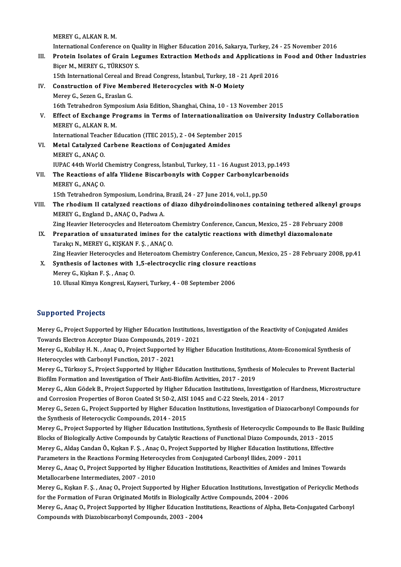MEREY G., ALKAN R. M.

International Conference on Quality in Higher Education 2016, Sakarya, Turkey, 24 - 25 November 2016

MEREY G., ALKAN R. M.<br>International Conference on Quality in Higher Education 2016, Sakarya, Turkey, 24 - 25 November 2016<br>III. Protein Isolates of Grain Legumes Extraction Methods and Applications in Food and Other Indust International Conference on Quan<br>Protein Isolates of Grain Leg<br>Biçer M., MEREY G., TÜRKSOY S. Protein Isolates of Grain Legumes Extraction Methods and Applications in<br>Biçer M., MEREY G., TÜRKSOY S.<br>15th International Cereal and Bread Congress, İstanbul, Turkey, 18 - 21 April 2016<br>Construction of Eive Membered Heter

```
15th International Cereal and Bread Congress, İstanbul, Turkey, 18 - 21 April 2016
```
- Biçer M., MEREY G., TÜRKSOY S.<br>15th International Cereal and Bread Congress, İstanbul, Turkey, 18 2<br>IV. Construction of Five Membered Heterocycles with N-O Moiety<br>Merey G., Sezen G., Eraslan G. Construction of Five Membered Heterocycles with N-O Moiety<br>Merey G., Sezen G., Eraslan G.<br>16th Tetrahedron Symposium Asia Edition, Shanghai, China, 10 - 13 November 2015<br>Effect of Exchange Programs in Terms of Internationa V. Effect of Exchange Programs in Terms of Internationalization on University Industry Collaboration<br>MEREY G. ALKAN R. M. 16th Tetrahedron Symp<br>Effect of Exchange P1<br>MEREY G., ALKAN R. M.<br>International Teacher E Effect of Exchange Programs in Terms of Internationalization<br>MEREY G., ALKAN R.M.<br>International Teacher Education (ITEC 2015), 2 - 04 September 2015<br>Matel Catalyged Carbane Beastions of Conjugated Amides
	-
- VI. Metal Catalyzed Carbene Reactions of Conjugated Amides International Teach<br>Metal Catalyzed (<br>MEREY G., ANAÇ O.<br>WPAC 44th World ( Metal Catalyzed Carbene Reactions of Conjugated Amides<br>MEREY G., ANAÇ O.<br>IUPAC 44th World Chemistry Congress, İstanbul, Turkey, 11 - 16 August 2013, pp.1493<br>The Beastions of alfa Ylidene Bissarbonyls with Conner Carbonylse MEREY G., ANAÇ O.<br>IUPAC 44th World Chemistry Congress, İstanbul, Turkey, 11 - 16 August 2013, pp.1493<br>VII. The Reactions of alfa Ylidene Biscarbonyls with Copper Carbonylcarbenoids<br>MEREY C. ANAC O. IUPAC 44th World<br>The Reactions of<br>MEREY G., ANAÇ O.<br>15th Tetrahedron S
- The Reactions of alfa Ylidene Biscarbonyls with Copper Carbonylcarbenoids<br>MEREY G., ANAC O. 15th Tetrahedron Symposium, Londrina, Brazil, 24 - 27 June 2014, vol.1, pp.50
- VIII. The rhodium II catalyzed reactions of diazo dihydroindolinones containing tethered alkenyl groups<br>MEREY G., England D., ANAC O., Padwa A. The rhodium II catalyzed reactions of diazo dihydroindolinones containing tethered alkenyl gr<br>MEREY G., England D., ANAÇ O., Padwa A.<br>Zing Heavier Heterocycles and Heteroatom Chemistry Conference, Cancun, Mexico, 25 - 28 F

MEREY G., England D., ANAÇ O., Padwa A.<br>Zing Heavier Heterocycles and Heteroatom Chemistry Conference, Cancun, Mexico, 25 - 28 February 20<br>IX. Preparation of unsaturated imines for the catalytic reactions with dimethyl dia Zing Heavier Heterocycles and Heteroatom (<br>Preparation of unsaturated imines for<br>Tarakçı N., MEREY G., KIŞKAN F. Ş. , ANAÇ O.<br>Zing Heavier Heterogycles and Heteroatom ( Preparation of unsaturated imines for the catalytic reactions with dimethyl diazomalonate<br>Tarakçı N., MEREY G., KIŞKAN F. Ş. , ANAÇ O.<br>Zing Heavier Heterocycles and Heteroatom Chemistry Conference, Cancun, Mexico, 25 - 28

Tarakçı N., MEREY G., KIŞKAN F. Ş., ANAÇ O.<br>Zing Heavier Heterocycles and Heteroatom Chemistry Conference, Cancun,<br>X. Synthesis of lactones with 1,5-electrocyclic ring closure reactions<br>Morey C. Kiskon E. S., Anas O. Zing Heavier Heterocycles and<br>**Synthesis of lactones with**<br>Merey G., Kişkan F. Ş. , Anaç O.<br>10 Hlucel Kimya Kongresi Kay Synthesis of lactones with 1,5-electrocyclic ring closure rea<br>Merey G., Kişkan F. Ş. , Anaç O.<br>10. Ulusal Kimya Kongresi, Kayseri, Turkey, 4 - 08 September 2006 10. Ulusal Kimya Kongresi, Kayseri, Turkey, 4 - 08 September 2006<br>Supported Projects

Supported Projects<br>Merey G., Project Supported by Higher Education Institutions, Investigation of the Reactivity of Conjugated Amides<br>Taugade Flectron Assentor Diage Compounds 2019, 2021 Merey G., Project Supported by Higher Education Institutions<br>Towards Electron Acceptor Diazo Compounds, 2019 - 2021<br>Merey G., Kubiley H. N., Ange O., Project Supported by Highe Towards Electron Acceptor Diazo Compounds, 2019 - 2021

Merey G., Kubilay H. N. , Anaç O., Project Supported by Higher Education Institutions, Atom-Economical Synthesis of<br>Heterocycles with Carbonyl Function, 2017 - 2021 Merey G., Kubilay H. N. , Anaç O., Project Supported by Higher Education Institutions, Atom-Economical Synthesis of<br>Heterocycles with Carbonyl Function, 2017 - 2021<br>Merey G., Türksoy S., Project Supported by Higher Educati

Heterocycles with Carbonyl Function, 2017 - 2021<br>Merey G., Türksoy S., Project Supported by Higher Education Institutions, Synthes<br>Biofilm Formation and Investigation of Their Anti-Biofilm Activities, 2017 - 2019<br>Merey G., Merey G., Türksoy S., Project Supported by Higher Education Institutions, Synthesis of Molecules to Prevent Bacterial<br>Biofilm Formation and Investigation of Their Anti-Biofilm Activities, 2017 - 2019<br>Merey G., Akın Gödek B

Biofilm Formation and Investigation of Their Anti-Biofilm Activities, 2017 - 2019<br>Merey G., Akın Gödek B., Project Supported by Higher Education Institutions, Investigation of Hardness, Microstructure<br>and Corrosion Propert Merey G., Akın Gödek B., Project Supported by Higher Education Institutions, Investigation of Hardness, Microstructure<br>and Corrosion Properties of Boron Coated St 50-2, AISI 1045 and C-22 Steels, 2014 - 2017<br>Merey G., Seze

and Corrosion Properties of Boron Coated St 50-2, AISI<br>Merey G., Sezen G., Project Supported by Higher Educat<br>the Synthesis of Heterocyclic Compounds, 2014 - 2015<br>Merey G., Broject Supported by Higher Education Institu Merey G., Sezen G., Project Supported by Higher Education Institutions, Investigation of Diazocarbonyl Compounds for<br>the Synthesis of Heterocyclic Compounds, 2014 - 2015<br>Merey G., Project Supported by Higher Education Inst

the Synthesis of Heterocyclic Compounds, 2014 - 2015<br>Merey G., Project Supported by Higher Education Institutions, Synthesis of Heterocyclic Compounds to Be Bas<br>Blocks of Biologically Active Compounds by Catalytic Reaction Merey G., Project Supported by Higher Education Institutions, Synthesis of Heterocyclic Compounds to Be Bas<br>Blocks of Biologically Active Compounds by Catalytic Reactions of Functional Diazo Compounds, 2013 - 2015<br>Merey G.

Blocks of Biologically Active Compounds by Catalytic Reactions of Functional Diazo Compounds, 2013 - 2015<br>Merey G., Aldaş Candan Ö., Kışkan F. Ş. , Anaç O., Project Supported by Higher Education Institutions, Effective<br>Par

Merey G., Aldaş Candan Ö., Kışkan F. Ş. , Anaç O., Project Supported by Higher Education Institutions, Effective<br>Parameters in the Reactions Forming Heterocycles from Conjugated Carbonyl Ilides, 2009 - 2011<br>Merey G., Anaç Parameters in the Reactions Forming Heter<br>Merey G., Anaç O., Project Supported by High<br>Metallocarbene Intermediates, 2007 - 2010<br>Merey G., Kiskan E. S., Anas O., Broject Supp Merey G., Anaç O., Project Supported by Higher Education Institutions, Reactivities of Amides and Imines Towards<br>Metallocarbene Intermediates, 2007 - 2010<br>Merey G., Kışkan F. Ş. , Anaç O., Project Supported by Higher Educa

Metallocarbene Intermediates, 2007 - 2010<br>Merey G., Kışkan F. Ş. , Anaç O., Project Supported by Higher Education Institutions, Investigat<br>for the Formation of Furan Originated Motifs in Biologically Active Compounds, 2004 Merey G., Kışkan F. Ş. , Anaç O., Project Supported by Higher Education Institutions, Investigation of Pericyclic Method<br>for the Formation of Furan Originated Motifs in Biologically Active Compounds, 2004 - 2006<br>Merey G.,

for the Formation of Furan Originated Motifs in Biologically Active Compounds, 2004 - 2006<br>Merey G., Anaç O., Project Supported by Higher Education Institutions, Reactions of Alpha, Beta-Conjugated Carbonyl<br>Compounds with